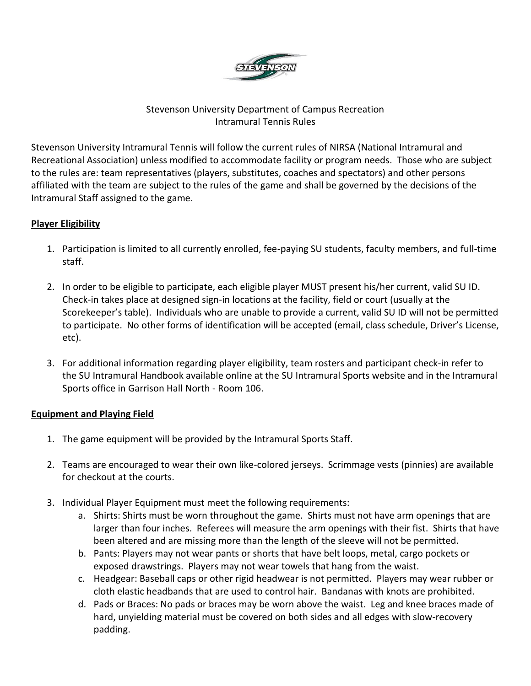

# Stevenson University Department of Campus Recreation Intramural Tennis Rules

Stevenson University Intramural Tennis will follow the current rules of NIRSA (National Intramural and Recreational Association) unless modified to accommodate facility or program needs. Those who are subject to the rules are: team representatives (players, substitutes, coaches and spectators) and other persons affiliated with the team are subject to the rules of the game and shall be governed by the decisions of the Intramural Staff assigned to the game.

# **Player Eligibility**

- 1. Participation is limited to all currently enrolled, fee-paying SU students, faculty members, and full-time staff.
- 2. In order to be eligible to participate, each eligible player MUST present his/her current, valid SU ID. Check-in takes place at designed sign-in locations at the facility, field or court (usually at the Scorekeeper's table). Individuals who are unable to provide a current, valid SU ID will not be permitted to participate. No other forms of identification will be accepted (email, class schedule, Driver's License, etc).
- 3. For additional information regarding player eligibility, team rosters and participant check-in refer to the SU Intramural Handbook available online at the SU Intramural Sports website and in the Intramural Sports office in Garrison Hall North - Room 106.

### **Equipment and Playing Field**

- 1. The game equipment will be provided by the Intramural Sports Staff.
- 2. Teams are encouraged to wear their own like-colored jerseys. Scrimmage vests (pinnies) are available for checkout at the courts.
- 3. Individual Player Equipment must meet the following requirements:
	- a. Shirts: Shirts must be worn throughout the game. Shirts must not have arm openings that are larger than four inches. Referees will measure the arm openings with their fist. Shirts that have been altered and are missing more than the length of the sleeve will not be permitted.
	- b. Pants: Players may not wear pants or shorts that have belt loops, metal, cargo pockets or exposed drawstrings. Players may not wear towels that hang from the waist.
	- c. Headgear: Baseball caps or other rigid headwear is not permitted. Players may wear rubber or cloth elastic headbands that are used to control hair. Bandanas with knots are prohibited.
	- d. Pads or Braces: No pads or braces may be worn above the waist. Leg and knee braces made of hard, unyielding material must be covered on both sides and all edges with slow-recovery padding.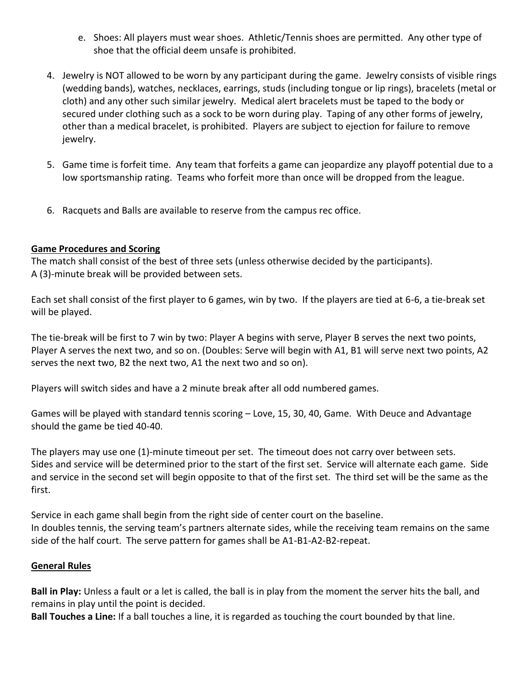- e. Shoes: All players must wear shoes. Athletic/Tennis shoes are permitted. Any other type of shoe that the official deem unsafe is prohibited.
- 4. Jewelry is NOT allowed to be worn by any participant during the game. Jewelry consists of visible rings (wedding bands), watches, necklaces, earrings, studs (including tongue or lip rings), bracelets (metal or cloth) and any other such similar jewelry. Medical alert bracelets must be taped to the body or secured under clothing such as a sock to be worn during play. Taping of any other forms of jewelry, other than a medical bracelet, is prohibited. Players are subject to ejection for failure to remove jewelry.
- 5. Game time is forfeit time. Any team that forfeits a game can jeopardize any playoff potential due to a low sportsmanship rating. Teams who forfeit more than once will be dropped from the league.
- 6. Racquets and Balls are available to reserve from the campus rec office.

### **Game Procedures and Scoring**

The match shall consist of the best of three sets (unless otherwise decided by the participants). A (3)-minute break will be provided between sets.

Each set shall consist of the first player to 6 games, win by two. If the players are tied at 6-6, a tie-break set will be played.

The tie-break will be first to 7 win by two: Player A begins with serve, Player B serves the next two points, Player A serves the next two, and so on. (Doubles: Serve will begin with A1, B1 will serve next two points, A2 serves the next two, B2 the next two, A1 the next two and so on).

Players will switch sides and have a 2 minute break after all odd numbered games.

Games will be played with standard tennis scoring – Love, 15, 30, 40, Game. With Deuce and Advantage should the game be tied 40-40.

The players may use one (1)-minute timeout per set. The timeout does not carry over between sets. Sides and service will be determined prior to the start of the first set. Service will alternate each game. Side and service in the second set will begin opposite to that of the first set. The third set will be the same as the first.

Service in each game shall begin from the right side of center court on the baseline. In doubles tennis, the serving team's partners alternate sides, while the receiving team remains on the same side of the half court. The serve pattern for games shall be A1-B1-A2-B2-repeat.

#### **General Rules**

**Ball in Play:** Unless a fault or a let is called, the ball is in play from the moment the server hits the ball, and remains in play until the point is decided.

**Ball Touches a Line:** If a ball touches a line, it is regarded as touching the court bounded by that line.